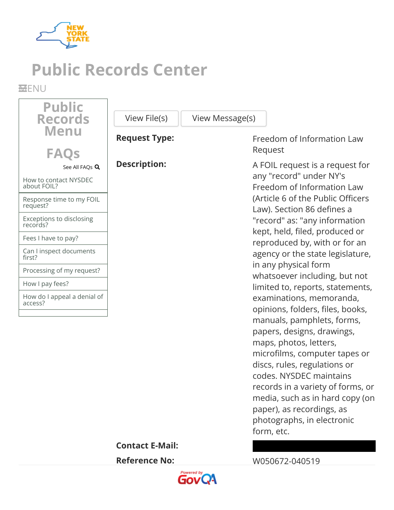

# **Public Records Center**

**MENU** 

| <b>Public</b>                          |                        |                                                                                                                                                                                                                                                                                                                                                                                                 |
|----------------------------------------|------------------------|-------------------------------------------------------------------------------------------------------------------------------------------------------------------------------------------------------------------------------------------------------------------------------------------------------------------------------------------------------------------------------------------------|
| <b>Records</b>                         | View File(s)           | View Message(s)                                                                                                                                                                                                                                                                                                                                                                                 |
| <b>Menu</b><br><b>FAQS</b>             | <b>Request Type:</b>   | Freedom of Information Law<br>Request                                                                                                                                                                                                                                                                                                                                                           |
| See All FAQs Q                         | <b>Description:</b>    | A FOIL request is a request for                                                                                                                                                                                                                                                                                                                                                                 |
| How to contact NYSDEC<br>about FOIL?   |                        | any "record" under NY's<br>Freedom of Information Law                                                                                                                                                                                                                                                                                                                                           |
| Response time to my FOIL<br>request?   |                        | (Article 6 of the Public Officers<br>Law). Section 86 defines a                                                                                                                                                                                                                                                                                                                                 |
| Exceptions to disclosing<br>records?   |                        | "record" as: "any information                                                                                                                                                                                                                                                                                                                                                                   |
| Fees I have to pay?                    |                        | kept, held, filed, produced or<br>reproduced by, with or for an                                                                                                                                                                                                                                                                                                                                 |
| Can I inspect documents<br>first?      |                        | agency or the state legislature,                                                                                                                                                                                                                                                                                                                                                                |
| Processing of my request?              |                        | in any physical form<br>whatsoever including, but not                                                                                                                                                                                                                                                                                                                                           |
| How I pay fees?                        |                        | limited to, reports, statements,                                                                                                                                                                                                                                                                                                                                                                |
| How do I appeal a denial of<br>access? |                        | examinations, memoranda,<br>opinions, folders, files, books,<br>manuals, pamphlets, forms,<br>papers, designs, drawings,<br>maps, photos, letters,<br>microfilms, computer tapes or<br>discs, rules, regulations or<br>codes. NYSDEC maintains<br>records in a variety of forms, or<br>media, such as in hard copy (on<br>paper), as recordings, as<br>photographs, in electronic<br>form, etc. |
|                                        | <b>Contact E-Mail:</b> |                                                                                                                                                                                                                                                                                                                                                                                                 |
|                                        | <b>Reference No:</b>   | W050672-040519                                                                                                                                                                                                                                                                                                                                                                                  |

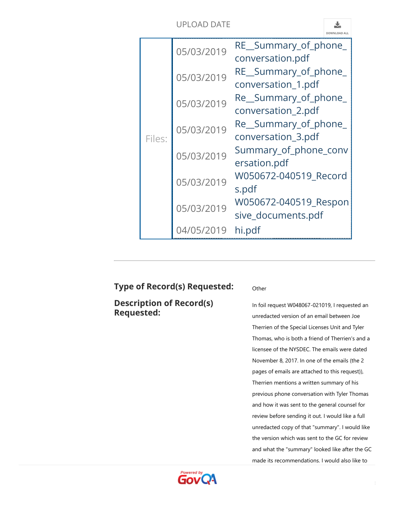

| Files: | 05/03/2019 | RE_Summary_of_phone_<br>conversation.pdf<br>RE_Summary_of_phone_ |
|--------|------------|------------------------------------------------------------------|
|        | 05/03/2019 | conversation_1.pdf                                               |
|        | 05/03/2019 | Re_Summary_of_phone_                                             |
|        |            | conversation_2.pdf                                               |
|        | 05/03/2019 | Re Summary of phone                                              |
|        |            | conversation_3.pdf                                               |
|        | 05/03/2019 | Summary_of_phone_conv                                            |
|        |            | ersation.pdf                                                     |
|        | 05/03/2019 | W050672-040519_Record                                            |
|        |            | s.pdf                                                            |
|        | 05/03/2019 | W050672-040519 Respon                                            |
|        |            | sive_documents.pdf                                               |
|        | 04/05/2019 | hi.pdf                                                           |

## **Type of Record(s) Requested:** Other

**Description of Record(s) Requested:**

In foil request W048067-021019, I requested an unredacted version of an email between Joe Therrien of the Special Licenses Unit and Tyler Thomas, who is both a friend of Therrien's and a licensee of the NYSDEC. The emails were dated November 8, 2017. In one of the emails (the 2 pages of emails are attached to this request)), Therrien mentions a written summary of his previous phone conversation with Tyler Thomas and how it was sent to the general counsel for review before sending it out. I would like a full unredacted copy of that "summary". I would like the version which was sent to the GC for review and what the "summary" looked like after the GC made its recommendations. I would also like to

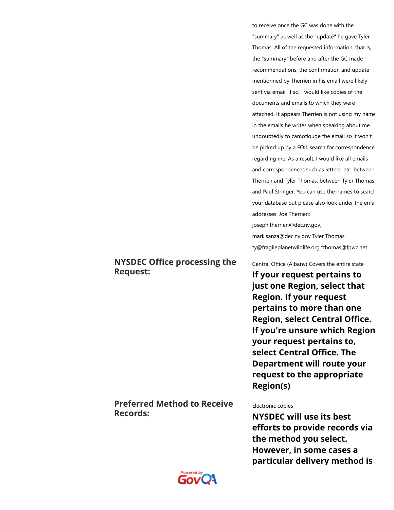to receive once the GC was done with the "summary" as well as the "update" he gave Tyler Thomas. All of the requested information; that is, the "summary" before and after the GC made recommendations, the confirmation and update mentionned by Therrien in his email were likely sent via email. If so, I would like copies of the documents and emails to which they were attached. It appears Therrien is not using my name in the emails he writes when speaking about me undoubtedly to camoflouge the email so it won't be picked up by a FOIL search for correspondence regarding me. As a result, I would like all emails and correspondences such as letters, etc. between Therrien and Tyler Thomas, between Tyler Thomas and Paul Stringer. You can use the names to search your database but please also look under the emai addresses: Joe Therrien:

joseph.therrien@dec.ny.gov,

mark.sanza@dec.ny.gov Tyler Thomas: ty@fragileplanetwildlife.org tthomas@fpwc.net

Central Office (Albany) Covers the entire state

**If your request pertains to just one Region, select that Region. If your request pertains to more than one Region, select Central Office. If you're unsure which Region your request pertains to, select Central Office. The Department will route your request to the appropriate Region(s)**

#### **Preferred Method to Receive Records:**

**NYSDEC Office processing the**

**Request:**

#### Electronic copies

**NYSDEC will use its best efforts to provide records via the method you select. However, in some cases a particular delivery method is**

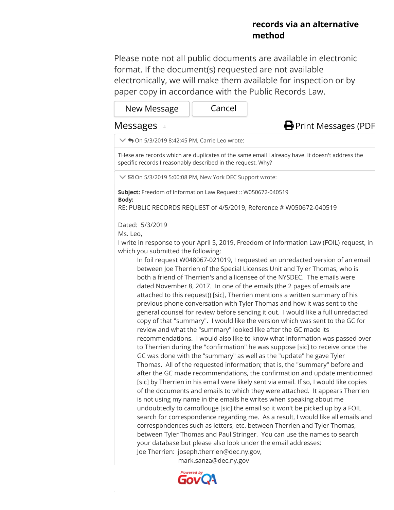### **records via an alternative method**

Please note not all public documents are available in electronic format. If the document(s) requested are not available electronically, we will make them available for inspection or by paper copy in accordance with the Public Records Law.

| New Message | Cancel |
|-------------|--------|
|-------------|--------|

#### Messages 4



 $\vee$   $\bigwedge$  On 5/3/2019 8:42:45 PM, Carrie Leo wrote:

THese are records which are duplicates of the same email I already have. It doesn't address the specific records I reasonably described in the request. Why?

 $\vee$   $\boxdot$  On 5/3/2019 5:00:08 PM, New York DEC Support wrote:

**Subject:** Freedom of Information Law Request :: W050672-040519 **Body:**

RE: PUBLIC RECORDS REQUEST of 4/5/2019, Reference # W050672-040519

Dated: 5/3/2019

Ms. Leo,

I write in response to your April 5, 2019, Freedom of Information Law (FOIL) request, in which you submitted the following:

In foil request W048067-021019, I requested an unredacted version of an email between Joe Therrien of the Special Licenses Unit and Tyler Thomas, who is both a friend of Therrien's and a licensee of the NYSDEC. The emails were dated November 8, 2017. In one of the emails (the 2 pages of emails are attached to this request)) [sic], Therrien mentions a written summary of his previous phone conversation with Tyler Thomas and how it was sent to the general counsel for review before sending it out. I would like a full unredacted copy of that "summary". I would like the version which was sent to the GC for review and what the "summary" looked like after the GC made its recommendations. I would also like to know what information was passed over to Therrien during the "confirmation" he was suppose [sic] to receive once the GC was done with the "summary" as well as the "update" he gave Tyler Thomas. All of the requested information; that is, the "summary" before and after the GC made recommendations, the confirmation and update mentionned [sic] by Therrien in his email were likely sent via email. If so, I would like copies of the documents and emails to which they were attached. It appears Therrien is not using my name in the emails he writes when speaking about me undoubtedly to camoflouge [sic] the email so it won't be picked up by a FOIL search for correspondence regarding me. As a result, I would like all emails and correspondences such as letters, etc. between Therrien and Tyler Thomas, between Tyler Thomas and Paul Stringer. You can use the names to search your database but please also look under the email addresses: Joe Therrien: joseph.therrien@dec.ny.gov,

mark.sanza@dec.ny.gov

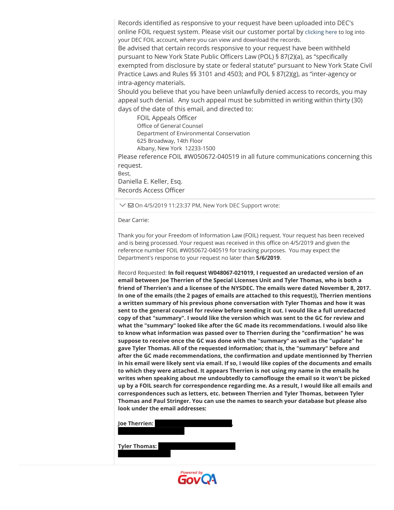Records identified as responsive to your request have been uploaded into DEC's online FOIL request system. Please visit our customer portal by [clicking here](https://newyorkdec.mycusthelp.com/webapp/_rs/RequestLogin.aspx) to log into your DEC FOIL account, where you can view and download the records. Be advised that certain records responsive to your request have been withheld pursuant to New York State Public Officers Law (POL) § 87(2)(a), as "specifically exempted from disclosure by state or federal statute" pursuant to New York State Civil Practice Laws and Rules §§ 3101 and 4503; and POL § 87(2)(g), as "inter-agency or intra-agency materials.

Should you believe that you have been unlawfully denied access to records, you may appeal such denial. Any such appeal must be submitted in writing within thirty (30) days of the date of this email, and directed to:

FOIL Appeals Officer Office of General Counsel Department of Environmental Conservation 625 Broadway, 14th Floor Albany, New York 12233-1500

Please reference FOIL #W050672-040519 in all future communications concerning this request.

Best,

Daniella E. Keller, Esq. Records Access Officer

 $\vee$   $\boxdot$  On 4/5/2019 11:23:37 PM, New York DEC Support wrote:

Dear Carrie:

Thank you for your Freedom of Information Law (FOIL) request. Your request has been received and is being processed. Your request was received in this office on 4/5/2019 and given the reference number FOIL #W050672-040519 for tracking purposes. You may expect the Department's response to your request no later than **5/6/2019**.

Record Requested: **In foil request W048067-021019, I requested an uredacted version of an email between Joe Therrien of the Special LIcenses Unit and Tyler Thomas, who is both a friend of Therrien's and a licensee of the NYSDEC. The emails were dated November 8, 2017. In one of the emails (the 2 pages of emails are attached to this request)), Therrien mentions a written summary of his previous phone conversation with Tyler Thomas and how it was sent to the general counsel for review before sending it out. I would like a full unredacted copy of that "summary". I would like the version which was sent to the GC for review and what the "summary" looked like after the GC made its recommendations. I would also like to know what information was passed over to Therrien during the "confirmation" he was suppose to receive once the GC was done with the "summary" as well as the "update" he gave Tyler Thomas. All of the requested information; that is, the "summary" before and after the GC made recommendations, the confirmation and update mentionned by Therrien in his email were likely sent via email. If so, I would like copies of the documents and emails to which they were attached. It appears Therrien is not using my name in the emails he writes when speaking about me undoubtedly to camoflouge the email so it won't be picked up by a FOIL search for correspondence regarding me. As a result, I would like all emails and correspondences such as letters, etc. between Therrien and Tyler Thomas, between Tyler Thomas and Paul Stringer. You can use the names to search your database but please also look under the email addresses:** 

| <b>Joe Therrien:</b> |  |  |
|----------------------|--|--|
| <b>Tyler Thomas:</b> |  |  |
|                      |  |  |